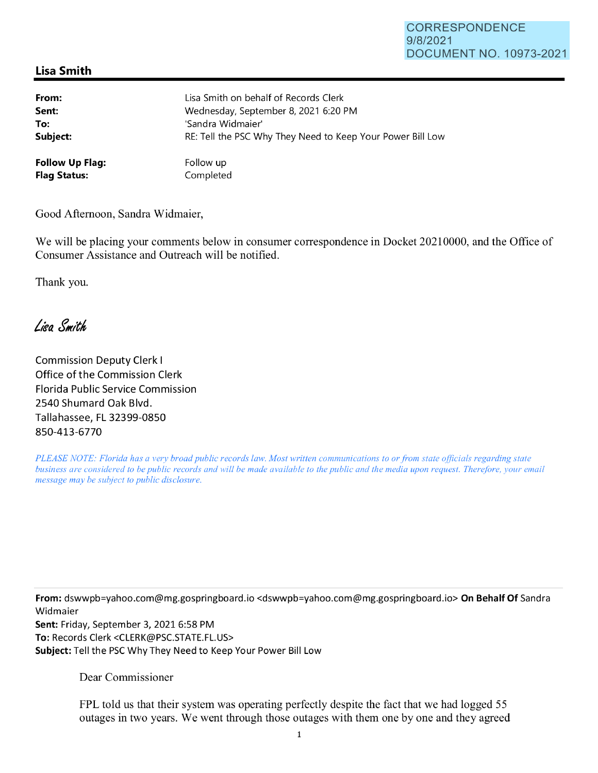## CORRESPONDENCE 9/8/2021 DOCUMENT NO. 10973-2021

## **Lisa Smith**

| From:                  | Lisa Smith on behalf of Records Clerk                      |
|------------------------|------------------------------------------------------------|
| Sent:                  | Wednesday, September 8, 2021 6:20 PM                       |
| To:                    | 'Sandra Widmaier'                                          |
| Subject:               | RE: Tell the PSC Why They Need to Keep Your Power Bill Low |
| <b>Follow Up Flag:</b> | Follow up                                                  |
| <b>Flag Status:</b>    | Completed                                                  |

Good Afternoon, Sandra Widmaier,

We will be placing your comments below in consumer correspondence in Docket 20210000, and the Office of Consumer Assistance and Outreach will be notified.

Thank you.

Lisa Smith

Commission Deputy Clerk I Office of the Commission Clerk Florida Public Service Commission 2540 Shumard Oak Blvd. Tallahassee, FL 32399-0850 850-413-6770

*PLEASE NOTE: Florida has a very broad public records law. Most written communications to or from state officials regarding state business are considered to be public records and will be made available to the public and the media upon request. Therefore, your email message may be subject to public disclosure.* 

**From:** dswwpb=yahoo.com@mg.gospringboard.io <dswwpb=yahoo.com@mg.gospringboard.io> **On Behalf Of** Sandra Widmaier **Sent:** Friday, September 3, 2021 6:58 PM

**To:** Records Clerk <CLERK@PSC.STATE.FL.US> **Subject:** Tell the PSC Why They Need to Keep Your Power Bill Low

Dear Commissioner

FPL told us that their system was operating perfectly despite the fact that we had logged 55 outages in two years. We went through those outages with them one by one and they agreed